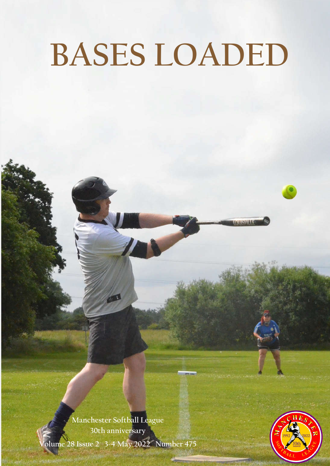# **BASES LOADED**

**Manchester Softball League 30th anniversary Volume 28 Issue 2 3-4 May 2022 Number 475**

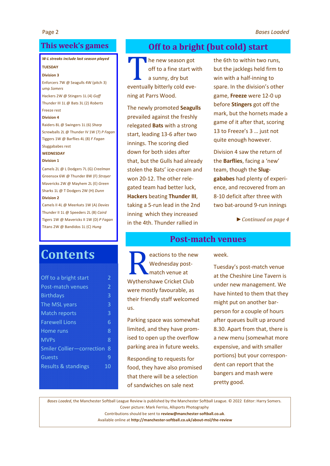#### **This week's games**

#### *W-L streaks include last season played*

#### **TUESDAY**

#### **Division 3**

Enforcers 7W @ Seagulls 4W (pitch 3) ump *Somers* Hackers 2W @ Stingers 1L (4) *Goff*

Thunder III 1L @ Bats 3L (2) *Roberts* Freeze rest

#### **Division 4**

Raiders 8L @ Swingers 1L (6) *Sharp* Screwballs 2L @ Thunder IV 1W (7) *P Fagan* Tiggers 1W @ Barflies 4L (8) *F Fagan* Sluggababes rest

#### **WEDNESDAY**

#### **Division 1**

Camels 2L @ L Dodgers 7L (G) *Creelman* Greensox 6W @ Thunder 8W (F) *Strayer* Mavericks 2W @ Mayhem 2L (E) *Green* Sharks 1L @ T Dodgers 2W (H) *Dunn* **Division 2**

Camels II 4L @ Meerkats 1W (A) *Davies* Thunder II 1L @ Speeders 2L (B) *Caird* Tigers 1W @ Mavericks II 1W (D) *P Fagan* Titans 2W @ Bandidos 1L (C) *Hung*

# **Contents**

| Off to a bright start            | 2            |
|----------------------------------|--------------|
| <b>Post-match venues</b>         | 2            |
| <b>Birthdays</b>                 | 3            |
| The MSL years                    | 3            |
| <b>Match reports</b>             | 3            |
| <b>Farewell Lions</b>            | 6            |
| Home runs                        | 8            |
| <b>MVPs</b>                      | 8            |
| <b>Smiler Collier-correction</b> | 8            |
| Guests                           | $\mathsf{q}$ |
| <b>Results &amp; standings</b>   | 10           |
|                                  |              |

## **Off to a bright (but cold) start**

 $\blacksquare$  he new season got off to a fine start with a sunny, dry but eventually bitterly cold evening at Parrs Wood.

The newly promoted **Seagulls**  prevailed against the freshly relegated **Bats** with a strong start, leading 13-6 after two innings. The scoring died down for both sides after that, but the Gulls had already stolen the Bats' ice-cream and won 20-12. The other relegated team had better luck, **Hackers** beating **Thunder III**, taking a 5-run lead in the 2nd inning which they increased in the 4th. Thunder rallied in

Reactions to the new<br>Wednesday post-<br>Mythenshawe Cricket Club Wednesday postmatch venue at

Wythenshawe Cricket Club were mostly favourable, as their friendly staff welcomed

Parking space was somewhat limited, and they have promised to open up the overflow parking area in future weeks.

Responding to requests for food, they have also promised that there will be a selection of sandwiches on sale next

us.

the 6th to within two runs, but the jacklegs held firm to win with a half-inning to spare. In the division's other game, **Freeze** were 12-0 up before **Stingers** got off the mark, but the hornets made a game of it after that, scoring 13 to Freeze's 3 … just not quite enough however.

Division 4 saw the return of the **Barflies**, facing a 'new' team, though the **Sluggababes** had plenty of experience, and recovered from an 8-10 deficit after three with two bat-around 9-run innings

*► Continued on page 4*

#### **Post-match venues**

week.

Tuesday's post-match venue at the Cheshire Line Tavern is under new management. We have hinted to them that they might put on another barperson for a couple of hours after queues built up around 8.30. Apart from that, there is a new menu (somewhat more expensive, and with smaller portions) but your correspondent can report that the bangers and mash were pretty good.

*Bases Loaded*, the Manchester Softball League Review is published by the Manchester Softball League. © 2022 Editor: Harry Somers. Cover picture: Mark Ferriss, Allsports Photography

Contributions should be sent to **review@manchester-softball.co.uk**.

Available online at **http://manchester-softball.co.uk/about-msl/the-review**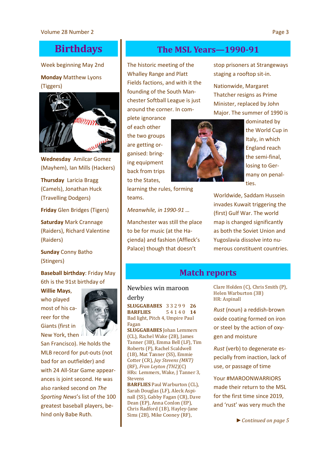# **Birthdays**

Week beginning May 2nd

#### **Monday** Matthew Lyons (Tiggers)



**Wednesday** Amilcar Gomez (Mayhem), Ian Mills (Hackers)

**Thursday** Laricia Bragg (Camels), Jonathan Huck (Travelling Dodgers)

**Friday** Glen Bridges (Tigers)

**Saturday** Mark Crannage (Raiders), Richard Valentine (Raiders)

**Sunday** Conny Batho (Stingers)

#### **Baseball birthday**: Friday May 6th is the 91st birthday of

**Willie Mays**, who played most of his career for the Giants (first in New York, then



San Francisco). He holds the MLB record for put-outs (not bad for an outfielder) and with 24 All-Star Game appearances is joint second. He was also ranked second on *The Sporting News*'s list of the 100 greatest baseball players, behind only Babe Ruth.

# **The MSL Years—1990-91**

The historic meeting of the Whalley Range and Platt Fields factions, and with it the founding of the South Manchester Softball League is just around the corner. In com-

plete ignorance of each other the two groups are getting organised: bringing equipment back from trips to the States,

learning the rules, forming teams.

*Meanwhile, in 1990-91 …*

Manchester was still the place to be for music (at the Haçienda) and fashion (Affleck's Palace) though that doesn't

stop prisoners at Strangeways staging a rooftop sit-in.

Nationwide, Margaret Thatcher resigns as Prime Minister, replaced by John Major. The summer of 1990 is



dominated by the World Cup in Italy, in which England reach the semi-final, losing to Germany on penalties.

Worldwide, Saddam Hussein invades Kuwait triggering the (first) Gulf War. The world map is changed significantly as both the Soviet Union and Yugoslavia dissolve into numerous constituent countries.

# **Match reports**

#### Newbies win maroon

derby **SLUGGABABES** 3 3 2 9 9 **26 BARFLIES** 5 4 1 4 0 **14** Bad light, Pitch 4, Umpire Paul Fagan

**SLUGGABABES** Johan Lemmers (CL), Rachel Wake (2B), James Tanner (3B), Emma Bell (LF), Tim Roberts (P), Rachel Scaldwell (1B), Mat Tanner (SS), Emmie Cotter (CR), *Jay Stevens (MKT)* (RF), *Fran Leyton (TH2)*(C) HRs: Lemmers, Wake, J Tanner 3, Stevens

**BARFLIES** Paul Warburton (CL), Sarah Douglas (LF), Aleck Aspinall (SS), Gabby Fagan (CR), Dave Dean (EP), Anna Conlon (EP), Chris Radford (1B), Hayley-Jane Sims (2B), Mike Cooney (RF),

Clare Holden (C), Chris Smith (P), Helen Warburton (3B) HR: Aspinall

*Rust* (noun) a reddish-brown oxide coating formed on iron or steel by the action of oxygen and moisture

*Rust* (verb) to degenerate especially from inaction, lack of use, or passage of time

Your #MAROONWARRIORS made their return to the MSL for the first time since 2019, and 'rust' was very much the

*► Continued on page 5*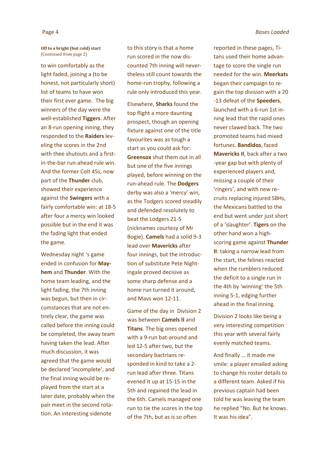#### **Off to a bright (but cold) start**  (Continued from page 2)

to win comfortably as the light faded, joining a (to be honest, not particularly short) list of teams to have won their first ever game. The big winners of the day were the well-established **Tiggers**. After an 8-run opening inning, they responded to the **Raiders** leveling the scores in the 2nd with thee shutouts and a firstin-the-bar run-ahead rule win. And the former Colt 45s, now part of the **Thunder** club, showed their experience against the **Swingers** with a fairly comfortable win: at 18-5 after four a mercy win looked possible but in the end it was the fading light that ended the game.

Wednesday night 's game ended in confusion for **Mayhem** and **Thunder**. With the home team leading, and the light fading, the 7th inning was begun, but then in circumstances that are not entirely clear, the game was called before the inning could be completed, the away team having taken the lead. After much discussion, it was agreed that the game would be declared 'incomplete', and the final inning would be replayed from the start at a later date, probably when the pair meet in the second rotation. An interesting sidenote

to this story is that a home run scored in the now discounted 7th inning will nevertheless still count towards the home-run trophy, following a rule only introduced this year.

Elsewhere, **Sharks** found the top flight a more daunting prospect, though an opening fixture against one of the title favourites was as tough a start as you could ask for: **Greensox** shut them out in all but one of the five innings played, before winning on the run-ahead rule. The **Dodgers**  derby was also a 'mercy' win, as the Todgers scored steadily and defended resolutely to beat the Lodgers 21-5 (nicknames courtesy of Mr Bogie). **Camels** had a solid 9-3 lead over **Mavericks** after four innings, but the introduction of substitute Pete Nightingale proved decisive as some sharp defense and a home run turned it around, and Mavs won 12-11.

Game of the day in Division 2 was between **Camels II** and **Titans**. The big ones opened with a 9-run bat-around and led 12-5 after two, but the secondary bactrians responded in kind to take a 2 run lead after three. Titans evened it up at 15-15 in the 5th and regained the lead in the 6th. Camels managed one run to tie the scores in the top of the 7th, but as is so often

reported in these pages, Titans used their home advantage to score the single run needed for the win. **Meerkats**  began their campaign to regain the top division with a 20 -13 defeat of the **Speeders**, launched with a 6-run 1st inning lead that the rapid ones never clawed back. The two promoted teams had mixed fortunes. **Bandidos**, faced **Mavericks II**, back after a two -year gap but with plenty of experienced players and, missing a couple of their 'ringers', and with new recruits replacing injured SBHs, the Mexicans battled to the end but went under just short of a 'slaughter'. **Tigers** on the other hand won a highscoring game against **Thunder II**: taking a narrow lead from the start, the felines reacted when the rumblers reduced the deficit to a single run in the 4th by 'winning' the 5th inning 5-1, edging further ahead in the final inning.

Division 2 looks like being a very interesting competition this year with several fairly evenly matched teams.

And finally … it made me smile: a player emailed asking to change his roster details to a different team. Asked if his previous captain had been told he was leaving the team he replied "No. But he knows. It was his idea".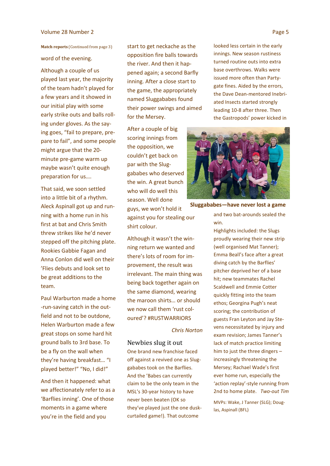#### Volume 28 Number 2 **Page 5**

word of the evening.

Although a couple of us played last year, the majority of the team hadn't played for a few years and it showed in our initial play with some early strike outs and balls rolling under gloves. As the saying goes, "fail to prepare, prepare to fail", and some people might argue that the 20 minute pre-game warm up maybe wasn't quite enough preparation for us….

That said, we soon settled into a little bit of a rhythm. Aleck Aspinall got up and running with a home run in his first at bat and Chris Smith threw strikes like he'd never stepped off the pitching plate. Rookies Gabbie Fagan and Anna Conlon did well on their 'Flies debuts and look set to be great additions to the team.

Paul Warburton made a home -run-saving catch in the outfield and not to be outdone, Helen Warburton made a few great stops on some hard hit ground balls to 3rd base. To be a fly on the wall when they're having breakfast… "I played better!" "No, I did!"

And then it happened: what we affectionately refer to as a 'Barflies inning'. One of those moments in a game where you're in the field and you

start to get neckache as the opposition fire balls towards the river. And then it happened again; a second Barfly inning. After a close start to the game, the appropriately named Sluggababes found their power swings and aimed for the Mersey. Match reports (Continued from page 3) **Start to get neckache as the looked less certain in the early** 

> After a couple of big scoring innings from the opposition, we couldn't get back on par with the Sluggababes who deserved the win. A great bunch who will do well this season. Well done guys, we won't hold it against you for stealing our shirt colour.

Although it wasn't the winning return we wanted and there's lots of room for improvement, the result was irrelevant. The main thing was being back together again on the same diamond, wearing the maroon shirts… or should we now call them 'rust coloured'? #RUSTWARRIORS

#### *Chris Norton*

Newbies slug it out One brand new franchise faced off against a revived one as Sluggababes took on the Barflies. And the 'Babes can currently claim to be the only team in the MSL's 30-year history to have never been beaten (OK so they've played just the one duskcurtailed game!). That outcome

innings. New season rustiness turned routine outs into extra base overthrows. Walks were issued more often than Partygate fines. Aided by the errors, the Dave Dean-mentored Inebriated Insects started strongly leading 10-8 after three. Then the Gastropods' power kicked in



**Sluggababes—have never lost a game**

and two bat-arounds sealed the win.

Highlights included: the Slugs proudly wearing their new strip (well organised Mat Tanner); Emma Beall's face after a great diving catch by the Barflies' pitcher deprived her of a base hit; new teammates Rachel Scaldwell and Emmie Cotter quickly fitting into the team ethos; Georgina Pugh's neat scoring; the contribution of guests Fran Leyton and Jay Stevens necessitated by injury and exam revision; James Tanner's lack of match practice limiting him to just the three dingers – increasingly threatening the Mersey; Rachael Wade's first ever home run, especially the 'action replay'-style running from 2nd to home plate. *Two-out Tim*

MVPs: Wake, J Tanner (SLG); Douglas, Aspinall (BFL)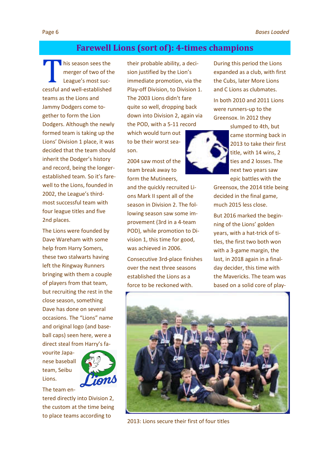## **Farewell Lions (sort of): 4-times champions**

 $\blacksquare$  his season sees the merger of two of the League's most successful and well-established teams as the Lions and Jammy Dodgers come together to form the Lion Dodgers. Although the newly formed team is taking up the Lions' Division 1 place, it was decided that the team should inherit the Dodger's history and record, being the longerestablished team. So it's farewell to the Lions, founded in 2002, the League's thirdmost successful team with four league titles and five 2nd places.

The Lions were founded by Dave Wareham with some help from Harry Somers, these two stalwarts having left the Ringway Runners bringing with them a couple of players from that team, but recruiting the rest in the close season, something Dave has done on several occasions. The "Lions" name and original logo (and baseball caps) seen here, were a direct steal from Harry's fa-

vourite Japanese baseball team, Seibu Lions.



The team entered directly into Division 2, the custom at the time being to place teams according to

their probable ability, a decision justified by the Lion's immediate promotion, via the Play-off Division, to Division 1. The 2003 Lions didn't fare quite so well, dropping back down into Division 2, again via the POD, with a 5-11 record

which would turn out to be their worst season.

2004 saw most of the team break away to form the Mutineers,

and the quickly recruited Lions Mark II spent all of the season in Division 2. The following season saw some improvement (3rd in a 4-team POD), while promotion to Division 1, this time for good, was achieved in 2006.

Consecutive 3rd-place finishes over the next three seasons established the Lions as a force to be reckoned with.

During this period the Lions expanded as a club, with first the Cubs, later More Lions and C Lions as clubmates.

In both 2010 and 2011 Lions were runners-up to the Greensox. In 2012 they



slumped to 4th, but came storming back in 2013 to take their first title, with 14 wins, 2 ties and 2 losses. The next two years saw epic battles with the

Greensox, the 2014 title being decided in the final game, much 2015 less close.

But 2016 marked the beginning of the Lions' golden years, with a hat-trick of titles, the first two both won with a 3-game margin, the last, in 2018 again in a finalday decider, this time with the Mavericks. The team was based on a solid core of play-



2013: Lions secure their first of four titles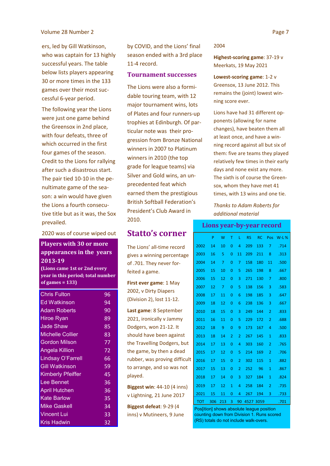ers, led by Gill Watkinson, who was captain for 13 highly successful years. The table below lists players appearing 30 or more times in the 133 games over their most successful 6-year period.

The following year the Lions were just one game behind the Greensox in 2nd place, with four defeats, three of which occurred in the first four games of the season. Credit to the Lions for rallying after such a disastrous start. The pair tied 10-10 in the penultimate game of the season: a win would have given the Lions a fourth consecutive title but as it was, the Sox prevailed.

#### 2020 was of course wiped out

#### **Players with 30 or more appearances in the years 2013-19**

**(Lions came 1st or 2nd every year in this period; total number of games = 133)**

| <b>Chris Fulton</b>      | 96 |
|--------------------------|----|
|                          |    |
| <b>Ed Watkinson</b>      | 94 |
| <b>Adam Roberts</b>      | 90 |
| <b>Hiroe Ryan</b>        | 89 |
| <b>Jade Shaw</b>         | 85 |
| <b>Michelle Collier</b>  | 83 |
| <b>Gordon Milson</b>     | 77 |
| <b>Angela Killion</b>    | 72 |
| Lindsay O'Farrell        | 66 |
| <b>Gill Watkinson</b>    | 59 |
| <b>Kimberly Pfeiffer</b> | 45 |
| Lee Bennet               | 36 |
| <b>April Hutchen</b>     | 36 |
| <b>Kate Barlow</b>       | 35 |
| <b>Mike Gaskell</b>      | 34 |
| <b>Vincent Lui</b>       | 33 |
| <b>Kris Hadwin</b>       | 32 |

by COVID, and the Lions' final season ended with a 3rd place 11-4 record.

#### **Tournament successes**

The Lions were also a formidable touring team, with 12 major tournament wins, lots of Plates and four runners-up trophies at Edinburgh. Of particular note was their progression from Bronze National winners in 2007 to Platinum winners in 2010 (the top grade for league teams) via Silver and Gold wins, an unprecedented feat which earned them the prestigious British Softball Federation's President's Club Award in 2010.

#### **Statto's corner**

The Lions' all-time record gives a winning percentage of .701. They never forfeited a game.

**First ever game**: 1 May 2002, v Dirty Diapers (Division 2), lost 11-12.

**Last game**: 8 September 2021, ironically v Jammy Dodgers, won 21-12. It should have been against the Travelling Dodgers, but the game, by then a dead rubber, was proving difficult to arrange, and so was not played.

**Biggest win**: 44-10 (4 inns) v Lightning, 21 June 2017

**Biggest defeat**: 9-29 (4 inns) v Mutineers, 9 June

#### 2004

**Highest-scoring game**: 37-19 v Meerkats, 19 May 2021

**Lowest-scoring game**: 1-2 v Greensox, 13 June 2012. This remains the (joint) lowest winning score ever.

Lions have had 31 different opponents (allowing for name changes), have beaten them all at least once, and have a winning record against all but six of them: five are teams they played relatively few times in their early days and none exist any more. The sixth is of course the Greensox, whom they have met 41 times, with 13 wins and one tie.

*Thanks to Adam Roberts for additional material*

#### **Lions year-by-year record**

|      | P   | W   | т              | L              | <b>RS</b> | <b>RC</b> | Pos            | $W-L$ % |
|------|-----|-----|----------------|----------------|-----------|-----------|----------------|---------|
| 2002 | 14  | 10  | 0              | 4              | 209       | 133       | 7              | .714    |
| 2003 | 16  | 5   | 0              | 11             | 209       | 211       | 8              | .313    |
| 2004 | 14  | 7   | 0              | 7              | 158       | 180       | 11             | .500    |
| 2005 | 15  | 10  | $\overline{0}$ | 5              | 265       | 198       | 8              | .667    |
| 2006 | 15  | 12  | 0              | 3              | 271       | 130       | 7              | .800    |
| 2007 | 12  | 7   | $\overline{0}$ | 5              | 138       | 156       | 3              | .583    |
| 2008 | 17  | 11  | 0              | 6              | 198       | 185       | 3              | .647    |
| 2009 | 18  | 12  | 0              | 6              | 238       | 136       | 3              | .667    |
| 2010 | 18  | 15  | $\overline{0}$ | 3              | 249       | 144       | $\overline{2}$ | .833    |
| 2011 | 16  | 11  | 0              | 5              | 229       | 172       | $\overline{2}$ | .688    |
| 2012 | 18  | 9   | 0              | 9              | 173       | 167       | 4              | .500    |
| 2013 | 18  | 14  | 2              | 2              | 267       | 145       | 1              | .833    |
| 2014 | 17  | 13  | $\overline{0}$ | 4              | 303       | 160       | $\overline{2}$ | .765    |
| 2015 | 17  | 12  | $\overline{0}$ | 5              | 214       | 169       | $\overline{2}$ | .706    |
| 2016 | 17  | 15  | 0              | $\overline{2}$ | 302       | 115       | 1              | .882    |
| 2017 | 15  | 13  | 0              | $\overline{2}$ | 252       | 96        | 1              | .867    |
| 2018 | 17  | 14  | $\overline{0}$ | 3              | 327       | 184       | $\mathbf{1}$   | .824    |
| 2019 | 17  | 12  | $\overline{1}$ | 4              | 258       | 184       | $\overline{2}$ | .735    |
| 2021 | 15  | 11  | 0              | 4              | 267       | 194       | 3              | .733    |
| TOT  | 306 | 213 | 3              | 90             | 4527      | 3059      |                | .701    |

Pos[ition] shows absolute league position counting down from Division 1. Runs scored (RS) totals do not include walk-overs.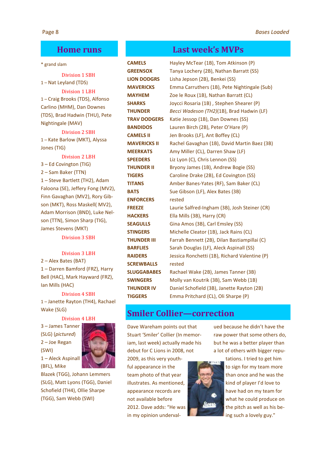## **Home runs**

#### \* grand slam

Division 1 SBH 1 – Nat Leyland (TDS)

#### Division 1 LBH 1 – Craig Brooks (TDS), Alfonso Carlino (MHM), Dan Downes (TDS), Brad Hadwin (THU), Pete Nightingale (MAV)

Division 2 SBH 1 – Kate Barlow (MKT), Alyssa Jones (TIG)

#### Division 2 LBH

3 – Ed Covington (TIG) 2 – Sam Baker (TTN) 1 – Steve Bartlett (TH2), Adam Faloona (SE), Jeffery Fong (MV2), Finn Gavaghan (MV2), Rory Gibson (MKT), Ross Maskell( MV2), Adam Morrison (BND), Luke Nelson (TTN), Simon Sharp (TIG), James Stevens (MKT)

Division 3 SBH

#### Division 3 LBH

2 – Alex Bates (BAT)

1 – Darren Bamford (FRZ), Harry Bell (HAC), Mark Hayward (FRZ), Ian Mills (HAC)

## Division 4 SBH

1 – Janette Rayton (TH4), Rachael Wake (SLG)

#### Division 4 LBH

3 – James Tanner (SLG) (*pictured*) 2 – Joe Regan (SWI) 1 – Aleck Aspinall (BFL), Mike



Blazek (TGG), Johann Lemmers (SLG), Matt Lyons (TGG), Daniel Schofield (TH4), Ollie Sharpe (TGG), Sam Webb (SWI)

## **Last week's MVPs**

**CAMELS** Hayley McTear (1B), Tom Atkinson (P) **GREENSOX** Tanya Lochery (2B), Nathan Barratt (SS) **LION DODGRS** Lisha Jepson (2B), Benkei (SS) **MAVERICKS** Emma Carruthers (1B), Pete Nightingale (Sub) **MAYHEM** Zoe le Roux (1B), Nathan Barratt (CL) **SHARKS** Joycci Rosaria (1B) , Stephen Shearer (P) **THUNDER** *Becci Wadeson (TH2)*(1B), Brad Hadwin (LF) **TRAV DODGERS** Katie Jessop (1B), Dan Downes (SS) **BANDIDOS** Lauren Birch (2B), Peter O'Hare (P) **CAMELS II** Jen Brooks (LF), Ant Boffey (CL) **MAVERICKS II** Rachel Gavaghan (1B), David Martin Baez (3B) **MEERKATS** Amy Miller (CL), Darren Shaw (LF) **SPEEDERS** Liz Lyon (C), Chris Lennon (SS) **THUNDER II** Bryony James (1B), Andrew Bogie (SS) **TIGERS** Caroline Drake (2B), Ed Covington (SS) **TITANS** Amber Banes-Yates (RF), Sam Baker (CL) **BATS** Sue Gibson (LF), Alex Bates (3B) **ENFORCERS** rested **FREEZE** Laurie Salfred-Ingham (3B), Josh Steiner (CR) **HACKERS** Ella Mills (3B), Harry (CR) **SEAGULLS** Gina Amos (3B), Carl Emsley (SS) **STINGERS** Michelle Cleator (1B), Jack Rains (CL) **THUNDER III** Farrah Bennett (2B), Dilan Bastiampillai (C) **BARFLIES** Sarah Douglas (LF), Aleck Aspinall (SS) **RAIDERS** Jessica Ronchetti (1B), Richard Valentine (P) **SCREWBALLS** rested **SLUGGABABES** Rachael Wake (2B), James Tanner (3B) **SWINGERS** Molly van Koutrik (3B), Sam Webb (1B) **THUNDER IV** Daniel Schofield (3B), Janette Rayton (2B) **TIGGERS** Emma Pritchard (CL), Oli Sharpe (P)

## **Smiler Collier—correction**

Dave Wareham points out that Stuart 'Smiler' Collier (In memoriam, last week) actually made his debut for C Lions in 2008, not

2009, as this very youthful appearance in the team photo of that year illustrates. As mentioned, appearance records are not available before 2012. Dave adds: "He was in my opinion underval-



ued because he didn't have the raw power that some others do, but he was a better player than a lot of others with bigger repu-

> tations. I tried to get him to sign for my team more than once and he was the kind of player I'd love to have had on my team for what he could produce on the pitch as well as his being such a lovely guy."

#### Page 8 *Bases Loaded*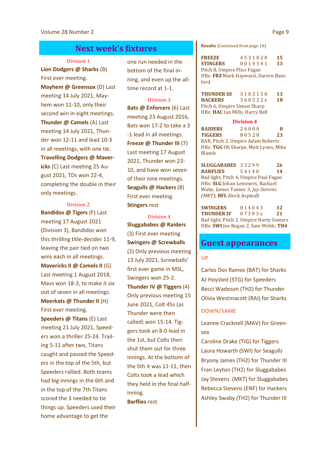#### **Next week's fixtures**

#### Division 1

**Lion Dodgers @ Sharks** (B) First ever meeting. **Mayhem @ Greensox** (D) Last meeting 14 July 2021, Mayhem won 11-10, only their second win in eight meetings. **Thunder @ Camels** (A) Last meeting 14 July 2021, Thunder won 12-11 and lead 10-3 in all meetings, with one tie. **Travelling Dodgers @ Mavericks** (C) Last meeting 25 August 2021, TDs won 22-4, completing the double in their only meetings.

#### Division 2

**Bandidos @ Tigers** (F) Last meeting 17 August 2021 (Division 3), Bandidos won this thrilling title-decider 11-9, leaving the pair tied on two wins each in all meetings. **Mavericks II @ Camels II** (G) Last meeting 1 August 2018, Mavs won 18-3, to make it six out of seven in all meetings. **Meerkats @ Thunder II** (H) First ever meeting. **Speeders @ Titans** (E) Last meeting 21 July 2021, Speeders won a thriller 25-24. Trailing 5-11 after two, Titans caught and passed the Speeders in the top of the 5th, but Speeders rallied. Both teams had big innings in the 6th and in the top of the 7th Titans scored the 3 needed to tie things up. Speeders used their home advantage to get the

one run needed in the bottom of the final inning, and even up the alltime record at 1-1.

Division 3 **Bats @ Enforcers** (6) Last meeting 23 August 2016, Bats won 17-2 to take a 3 -1 lead in all meetings. **Freeze @ Thunder III** (7) Last meeting 17 August 2021, Thunder won 23- 10, and have won seven of their nine meetings. **Seagulls @ Hackers** (8) First ever meeting. **Stingers** rest

Division 4 **Sluggababes @ Raiders**  (3) First ever meeting **Swingers @ Screwballs**  (2) Only previous meeting 13 July 2021, Screwballs' first ever game in MSL, Swingers won 25-2. **Thunder IV @ Tiggers** (4) Only previous meeting 15 June 2021, Colt 45s (as Thunder were then called) won 15-14. Tiggers took an 8-0 lead in the 1st, but Colts then shut them out for three innings. At the bottom of the 5th it was 11-11, then Colts took a lead which they held in the final halfinning.

**Barflies** rest

**Results** (Continued from page 10)

**FREEZE** 4 5 3 1 0 2 0 **15 STINGERS** 0 0 1 4 3 4 1 **13** Pitch 8, Umpire Fliss Fagan HRs: **FRZ** Mark Hayward, Darren Bamford

| <b>THUNDER III</b>                    | 3103150 | 13 |  |  |  |
|---------------------------------------|---------|----|--|--|--|
| <b>HACKERS</b>                        | 360522x | 18 |  |  |  |
| Pitch 6, Umpire Simon Sharp           |         |    |  |  |  |
| HRs: <b>HAC</b> Ian Mills, Harry Bell |         |    |  |  |  |

**Division 4 RAIDERS** 2 6 0 0 0 **8 TIGGERS** 8 0 5 2 8 **23** RAR, Pitch 2, Umpire Adam Roberts HRs: **TGG** Oli Sharpe, Matt Lyons, Mike Blazek

**SLUGGABABES** 3 3 2 9 9 **26 BARFLIES** 5 4 1 4 0 **14** Bad light, Pitch 4, Umpire Paul Fagan HRs: **SLG** Johan Lemmers, Rachael Wake, James Tanner 3, *Jay Stevens (MKT)*; **BFL** Aleck Aspinall

**SWINGERS** 0 1 4 0 4 3 **12 THUNDER IV** 0 7 3 8 3 x **21** Bad light, Pitch 3, Umpire Harry Somers HRs: **SWI** Joe Regan 2, Sam Webb; **TH4**

#### **Guest appearances**

#### **UP**

Carlos Dos Ramos (BAT) for Sharks AJ Hoysted (STG) for Speeders Becci Wadeson (TH2) for Thunder Olivia Westmacott (RAI) for Sharks

#### **DOWN/SAME**

Leanne Cracknell (MAV) for Greensox

Caroline Drake (TIG) for Tiggers Laura Howarth (SWI) for Seagulls Bryony James (TH2) for Thunder III Fran Leyton (TH2) for Sluggababes Jay Stevens (MKT) for Sluggababes Rebecca Stevens (ENF) for Hackers Ashley Swaby (TH2) for Thunder III